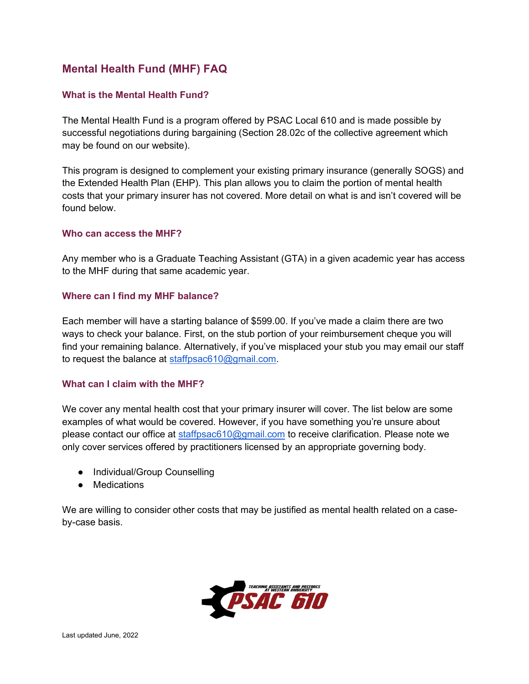# Mental Health Fund (MHF) FAQ

# What is the Mental Health Fund?

The Mental Health Fund is a program offered by PSAC Local 610 and is made possible by successful negotiations during bargaining (Section 28.02c of the collective agreement which may be found on our website).

This program is designed to complement your existing primary insurance (generally SOGS) and the Extended Health Plan (EHP). This plan allows you to claim the portion of mental health costs that your primary insurer has not covered. More detail on what is and isn't covered will be found below.

## Who can access the MHF?

Any member who is a Graduate Teaching Assistant (GTA) in a given academic year has access to the MHF during that same academic year.

## Where can I find my MHF balance?

Each member will have a starting balance of \$599.00. If you've made a claim there are two ways to check your balance. First, on the stub portion of your reimbursement cheque you will find your remaining balance. Alternatively, if you've misplaced your stub you may email our staff to request the balance at staffpsac610@gmail.com.

## What can I claim with the MHF?

We cover any mental health cost that your primary insurer will cover. The list below are some examples of what would be covered. However, if you have something you're unsure about please contact our office at staffpsac610@gmail.com to receive clarification. Please note we only cover services offered by practitioners licensed by an appropriate governing body.

- Individual/Group Counselling
- Medications

We are willing to consider other costs that may be justified as mental health related on a caseby-case basis.

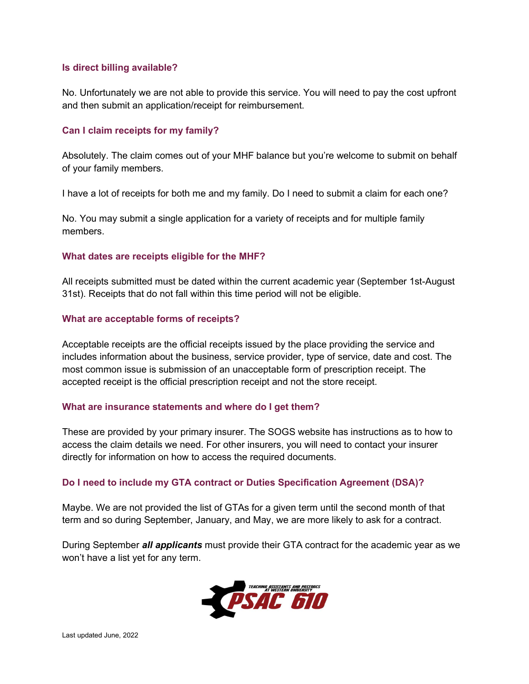## Is direct billing available?

No. Unfortunately we are not able to provide this service. You will need to pay the cost upfront and then submit an application/receipt for reimbursement.

## Can I claim receipts for my family?

Absolutely. The claim comes out of your MHF balance but you're welcome to submit on behalf of your family members.

I have a lot of receipts for both me and my family. Do I need to submit a claim for each one?

No. You may submit a single application for a variety of receipts and for multiple family members.

#### What dates are receipts eligible for the MHF?

All receipts submitted must be dated within the current academic year (September 1st-August 31st). Receipts that do not fall within this time period will not be eligible.

#### What are acceptable forms of receipts?

Acceptable receipts are the official receipts issued by the place providing the service and includes information about the business, service provider, type of service, date and cost. The most common issue is submission of an unacceptable form of prescription receipt. The accepted receipt is the official prescription receipt and not the store receipt.

#### What are insurance statements and where do I get them?

These are provided by your primary insurer. The SOGS website has instructions as to how to access the claim details we need. For other insurers, you will need to contact your insurer directly for information on how to access the required documents.

## Do I need to include my GTA contract or Duties Specification Agreement (DSA)?

Maybe. We are not provided the list of GTAs for a given term until the second month of that term and so during September, January, and May, we are more likely to ask for a contract.

During September *all applicants* must provide their GTA contract for the academic year as we won't have a list yet for any term.

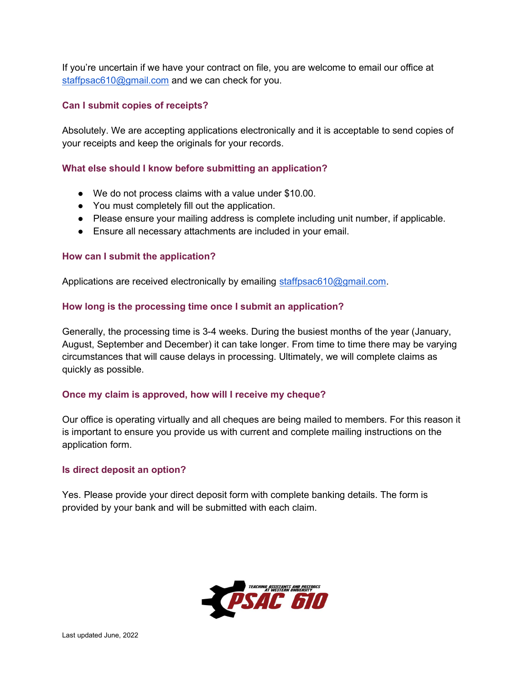If you're uncertain if we have your contract on file, you are welcome to email our office at staffpsac610@gmail.com and we can check for you.

## Can I submit copies of receipts?

Absolutely. We are accepting applications electronically and it is acceptable to send copies of your receipts and keep the originals for your records.

### What else should I know before submitting an application?

- We do not process claims with a value under \$10.00.
- You must completely fill out the application.
- Please ensure your mailing address is complete including unit number, if applicable.
- Ensure all necessary attachments are included in your email.

## How can I submit the application?

Applications are received electronically by emailing staffpsac610@gmail.com.

## How long is the processing time once I submit an application?

Generally, the processing time is 3-4 weeks. During the busiest months of the year (January, August, September and December) it can take longer. From time to time there may be varying circumstances that will cause delays in processing. Ultimately, we will complete claims as quickly as possible.

## Once my claim is approved, how will I receive my cheque?

Our office is operating virtually and all cheques are being mailed to members. For this reason it is important to ensure you provide us with current and complete mailing instructions on the application form.

#### Is direct deposit an option?

Yes. Please provide your direct deposit form with complete banking details. The form is provided by your bank and will be submitted with each claim.